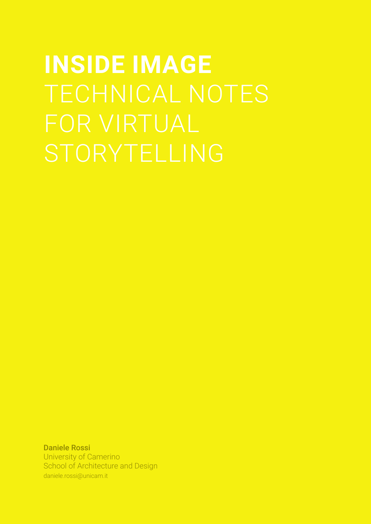# **INSIDE IMAGE**  TECHNICAL NOTES STORYTELLING

Daniele Rossi University of Camerino School of Architecture and Design daniele.rossi@unicam.it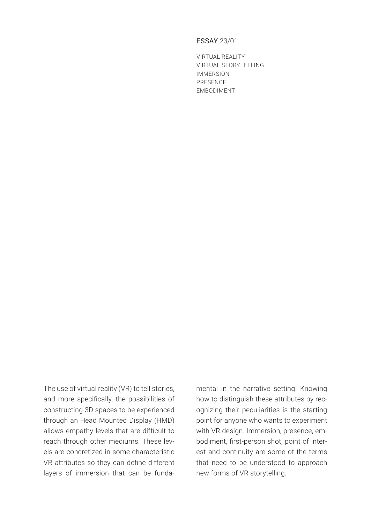## ESSAY 23/01

VIRTUAL REALITY VIRTUAL STORYTELLING IMMERSION PRESENCE EMBODIMENT

The use of virtual reality (VR) to tell stories, and more specifically, the possibilities of constructing 3D spaces to be experienced through an Head Mounted Display (HMD) allows empathy levels that are difficult to reach through other mediums. These levels are concretized in some characteristic VR attributes so they can define different layers of immersion that can be funda-

mental in the narrative setting. Knowing how to distinguish these attributes by recognizing their peculiarities is the starting point for anyone who wants to experiment with VR design. Immersion, presence, embodiment, first-person shot, point of interest and continuity are some of the terms that need to be understood to approach new forms of VR storytelling.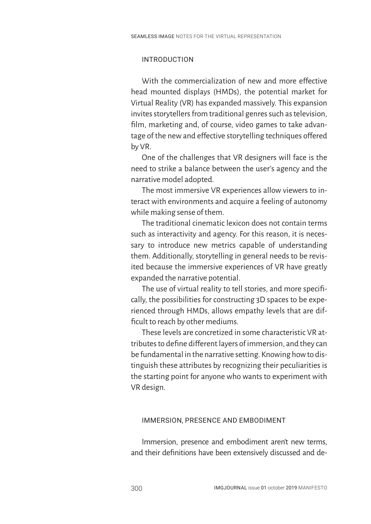# INTRODUCTION

With the commercialization of new and more effective head mounted displays (HMDs), the potential market for Virtual Reality (VR) has expanded massively. This expansion invites storytellers from traditional genres such as television, film, marketing and, of course, video games to take advantage of the new and effective storytelling techniques offered by VR.

One of the challenges that VR designers will face is the need to strike a balance between the user's agency and the narrative model adopted.

The most immersive VR experiences allow viewers to interact with environments and acquire a feeling of autonomy while making sense of them.

The traditional cinematic lexicon does not contain terms such as interactivity and agency. For this reason, it is necessary to introduce new metrics capable of understanding them. Additionally, storytelling in general needs to be revisited because the immersive experiences of VR have greatly expanded the narrative potential.

The use of virtual reality to tell stories, and more specifically, the possibilities for constructing 3D spaces to be experienced through HMDs, allows empathy levels that are difficult to reach by other mediums.

These levels are concretized in some characteristic VR attributes to define different layers of immersion, and they can be fundamental in the narrative setting. Knowing how to distinguish these attributes by recognizing their peculiarities is the starting point for anyone who wants to experiment with VR design.

### IMMERSION, PRESENCE AND EMBODIMENT

Immersion, presence and embodiment aren't new terms, and their definitions have been extensively discussed and de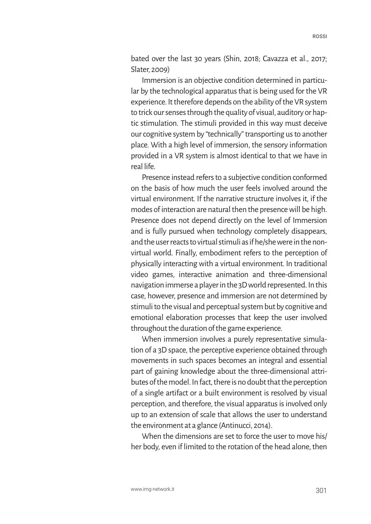bated over the last 30 years (Shin, 2018; Cavazza et al., 2017; Slater, 2009)

Immersion is an objective condition determined in particular by the technological apparatus that is being used for the VR experience. It therefore depends on the ability of the VR system to trick our senses through the quality of visual, auditory or haptic stimulation. The stimuli provided in this way must deceive our cognitive system by "technically" transporting us to another place. With a high level of immersion, the sensory information provided in a VR system is almost identical to that we have in real life.

Presence instead refers to a subjective condition conformed on the basis of how much the user feels involved around the virtual environment. If the narrative structure involves it, if the modes of interaction are natural then the presence will be high. Presence does not depend directly on the level of Immersion and is fully pursued when technology completely disappears, and the user reacts to virtual stimuli as if he/she were in the nonvirtual world. Finally, embodiment refers to the perception of physically interacting with a virtual environment. In traditional video games, interactive animation and three-dimensional navigation immerse a player in the 3D world represented. In this case, however, presence and immersion are not determined by stimuli to the visual and perceptual system but by cognitive and emotional elaboration processes that keep the user involved throughout the duration of the game experience.

When immersion involves a purely representative simulation of a 3D space, the perceptive experience obtained through movements in such spaces becomes an integral and essential part of gaining knowledge about the three-dimensional attributes of the model. In fact, there is no doubt that the perception of a single artifact or a built environment is resolved by visual perception, and therefore, the visual apparatus is involved only up to an extension of scale that allows the user to understand the environment at a glance (Antinucci, 2014).

When the dimensions are set to force the user to move his/ her body, even if limited to the rotation of the head alone, then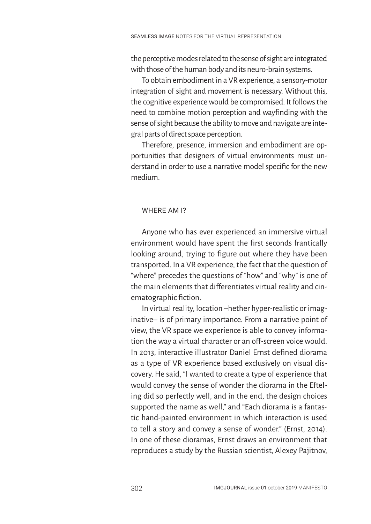the perceptive modes related to the sense of sight are integrated with those of the human body and its neuro-brain systems.

To obtain embodiment in a VR experience, a sensory-motor integration of sight and movement is necessary. Without this, the cognitive experience would be compromised. It follows the need to combine motion perception and wayfinding with the sense of sight because the ability to move and navigate are integral parts of direct space perception.

Therefore, presence, immersion and embodiment are opportunities that designers of virtual environments must understand in order to use a narrative model specific for the new medium.

# WHERE AM I?

Anyone who has ever experienced an immersive virtual environment would have spent the first seconds frantically looking around, trying to figure out where they have been transported. In a VR experience, the fact that the question of "where" precedes the questions of "how" and "why" is one of the main elements that differentiates virtual reality and cinematographic fiction.

In virtual reality, location –hether hyper-realistic or imaginative– is of primary importance. From a narrative point of view, the VR space we experience is able to convey information the way a virtual character or an off-screen voice would. In 2013, interactive illustrator Daniel Ernst defined diorama as a type of VR experience based exclusively on visual discovery. He said, "I wanted to create a type of experience that would convey the sense of wonder the diorama in the Efteling did so perfectly well, and in the end, the design choices supported the name as well," and "Each diorama is a fantastic hand-painted environment in which interaction is used to tell a story and convey a sense of wonder." (Ernst, 2014). In one of these dioramas, Ernst draws an environment that reproduces a study by the Russian scientist, Alexey Pajitnov,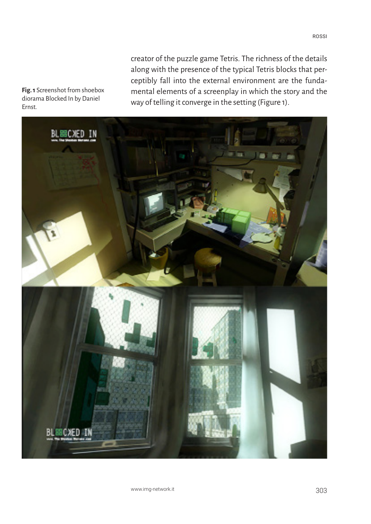creator of the puzzle game Tetris. The richness of the details along with the presence of the typical Tetris blocks that perceptibly fall into the external environment are the fundamental elements of a screenplay in which the story and the way of telling it converge in the setting (Figure 1).



**Fig. 1** Screenshot from shoebox diorama Blocked In by Daniel Ernst.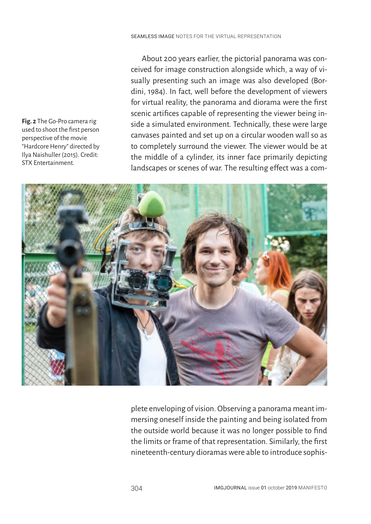**Fig. 2** The Go-Pro camera rig used to shoot the first person perspective of the movie "Hardcore Henry" directed by Ilya Naishuller (2015). Credit: STX Entertainment.

About 200 years earlier, the pictorial panorama was conceived for image construction alongside which, a way of visually presenting such an image was also developed (Bordini, 1984). In fact, well before the development of viewers for virtual reality, the panorama and diorama were the first scenic artifices capable of representing the viewer being inside a simulated environment. Technically, these were large canvases painted and set up on a circular wooden wall so as to completely surround the viewer. The viewer would be at the middle of a cylinder, its inner face primarily depicting landscapes or scenes of war. The resulting effect was a com-



plete enveloping of vision. Observing a panorama meant immersing oneself inside the painting and being isolated from the outside world because it was no longer possible to find the limits or frame of that representation. Similarly, the first nineteenth-century dioramas were able to introduce sophis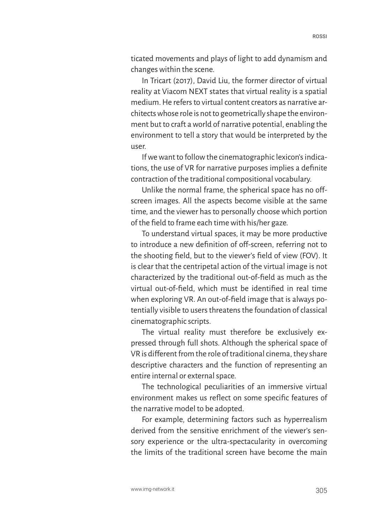ticated movements and plays of light to add dynamism and changes within the scene.

In Tricart (2017), David Liu, the former director of virtual reality at Viacom NEXT states that virtual reality is a spatial medium. He refers to virtual content creators as narrative architects whose role is not to geometrically shape the environment but to craft a world of narrative potential, enabling the environment to tell a story that would be interpreted by the user.

If we want to follow the cinematographic lexicon's indications, the use of VR for narrative purposes implies a definite contraction of the traditional compositional vocabulary.

Unlike the normal frame, the spherical space has no offscreen images. All the aspects become visible at the same time, and the viewer has to personally choose which portion of the field to frame each time with his/her gaze.

To understand virtual spaces, it may be more productive to introduce a new definition of off-screen, referring not to the shooting field, but to the viewer's field of view (FOV). It is clear that the centripetal action of the virtual image is not characterized by the traditional out-of-field as much as the virtual out-of-field, which must be identified in real time when exploring VR. An out-of-field image that is always potentially visible to users threatens the foundation of classical cinematographic scripts.

The virtual reality must therefore be exclusively expressed through full shots. Although the spherical space of VR is different from the role of traditional cinema, they share descriptive characters and the function of representing an entire internal or external space.

The technological peculiarities of an immersive virtual environment makes us reflect on some specific features of the narrative model to be adopted.

For example, determining factors such as hyperrealism derived from the sensitive enrichment of the viewer's sensory experience or the ultra-spectacularity in overcoming the limits of the traditional screen have become the main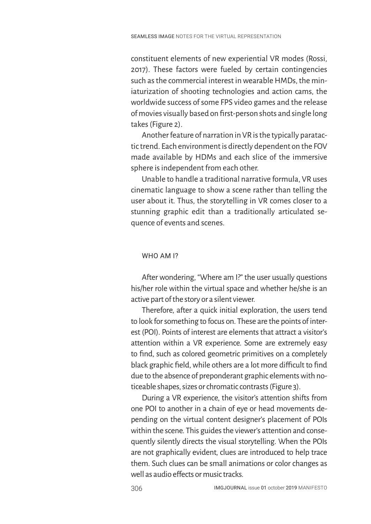constituent elements of new experiential VR modes (Rossi, 2017). These factors were fueled by certain contingencies such as the commercial interest in wearable HMDs, the miniaturization of shooting technologies and action cams, the worldwide success of some FPS video games and the release of movies visually based on first-person shots and single long takes (Figure 2).

Another feature of narration in VR is the typically paratactic trend. Each environment is directly dependent on the FOV made available by HDMs and each slice of the immersive sphere is independent from each other.

Unable to handle a traditional narrative formula, VR uses cinematic language to show a scene rather than telling the user about it. Thus, the storytelling in VR comes closer to a stunning graphic edit than a traditionally articulated sequence of events and scenes.

### WHO AM I?

After wondering, "Where am I?" the user usually questions his/her role within the virtual space and whether he/she is an active part of the story or a silent viewer.

Therefore, after a quick initial exploration, the users tend to look for something to focus on. These are the points of interest (POI). Points of interest are elements that attract a visitor's attention within a VR experience. Some are extremely easy to find, such as colored geometric primitives on a completely black graphic field, while others are a lot more difficult to find due to the absence of preponderant graphic elements with noticeable shapes, sizes or chromatic contrasts (Figure 3).

During a VR experience, the visitor's attention shifts from one POI to another in a chain of eye or head movements depending on the virtual content designer's placement of POIs within the scene. This guides the viewer's attention and consequently silently directs the visual storytelling. When the POIs are not graphically evident, clues are introduced to help trace them. Such clues can be small animations or color changes as well as audio effects or music tracks.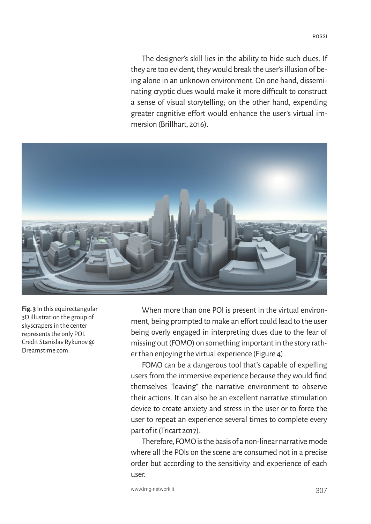The designer's skill lies in the ability to hide such clues. If they are too evident, they would break the user's illusion of being alone in an unknown environment. On one hand, disseminating cryptic clues would make it more difficult to construct a sense of visual storytelling; on the other hand, expending greater cognitive effort would enhance the user's virtual immersion (Brillhart, 2016).



**Fig. 3** In this equirectangular 3D illustration the group of skyscrapers in the center represents the only POI. Credit Stanislav Rykunov @ Dreamstime.com.

When more than one POI is present in the virtual environment, being prompted to make an effort could lead to the user being overly engaged in interpreting clues due to the fear of missing out (FOMO) on something important in the story rather than enjoying the virtual experience (Figure 4).

FOMO can be a dangerous tool that's capable of expelling users from the immersive experience because they would find themselves "leaving" the narrative environment to observe their actions. It can also be an excellent narrative stimulation device to create anxiety and stress in the user or to force the user to repeat an experience several times to complete every part of it (Tricart 2017).

Therefore, FOMO is the basis of a non-linear narrative mode where all the POIs on the scene are consumed not in a precise order but according to the sensitivity and experience of each user.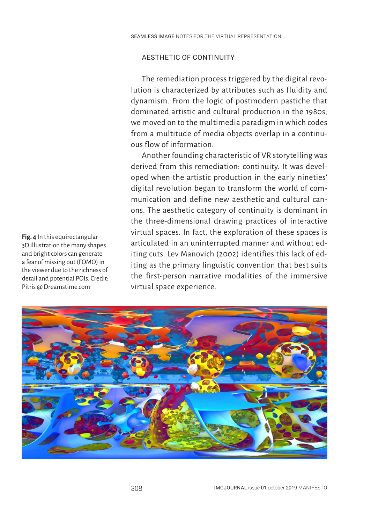## AESTHETIC OF CONTINUITY

The remediation process triggered by the digital revolution is characterized by attributes such as fluidity and dynamism. From the logic of postmodern pastiche that dominated artistic and cultural production in the 1980s, we moved on to the multimedia paradigm in which codes from a multitude of media objects overlap in a continuous flow of information.

Another founding characteristic of VR storytelling was derived from this remediation: continuity. It was developed when the artistic production in the early nineties' digital revolution began to transform the world of communication and define new aesthetic and cultural canons. The aesthetic category of continuity is dominant in the three-dimensional drawing practices of interactive virtual spaces. In fact, the exploration of these spaces is articulated in an uninterrupted manner and without editing cuts. Lev Manovich (2002) identifies this lack of editing as the primary linguistic convention that best suits the first-person narrative modalities of the immersive virtual space experience.



**Fig. 4** In this equirectangular 3D illustration the many shapes and bright colors can generate a fear of missing out (FOMO) in the viewer due to the richness of detail and potential POIs. Credit: Pitris @ Dreamstime.com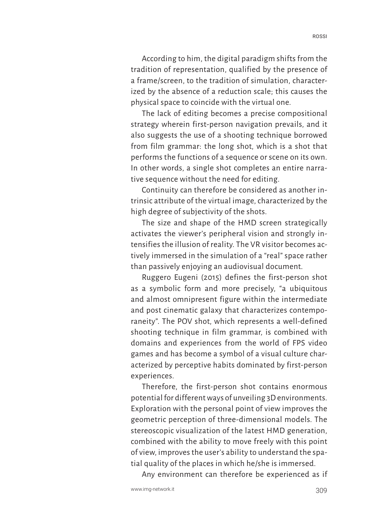According to him, the digital paradigm shifts from the tradition of representation, qualified by the presence of a frame/screen, to the tradition of simulation, characterized by the absence of a reduction scale; this causes the physical space to coincide with the virtual one.

The lack of editing becomes a precise compositional strategy wherein first-person navigation prevails, and it also suggests the use of a shooting technique borrowed from film grammar: the long shot, which is a shot that performs the functions of a sequence or scene on its own. In other words, a single shot completes an entire narrative sequence without the need for editing.

Continuity can therefore be considered as another intrinsic attribute of the virtual image, characterized by the high degree of subjectivity of the shots.

The size and shape of the HMD screen strategically activates the viewer's peripheral vision and strongly intensifies the illusion of reality. The VR visitor becomes actively immersed in the simulation of a "real" space rather than passively enjoying an audiovisual document.

Ruggero Eugeni (2015) defines the first-person shot as a symbolic form and more precisely, "a ubiquitous and almost omnipresent figure within the intermediate and post cinematic galaxy that characterizes contemporaneity". The POV shot, which represents a well-defined shooting technique in film grammar, is combined with domains and experiences from the world of FPS video games and has become a symbol of a visual culture characterized by perceptive habits dominated by first-person experiences.

Therefore, the first-person shot contains enormous potential for different ways of unveiling 3D environments. Exploration with the personal point of view improves the geometric perception of three-dimensional models. The stereoscopic visualization of the latest HMD generation, combined with the ability to move freely with this point of view, improves the user's ability to understand the spatial quality of the places in which he/she is immersed.

Any environment can therefore be experienced as if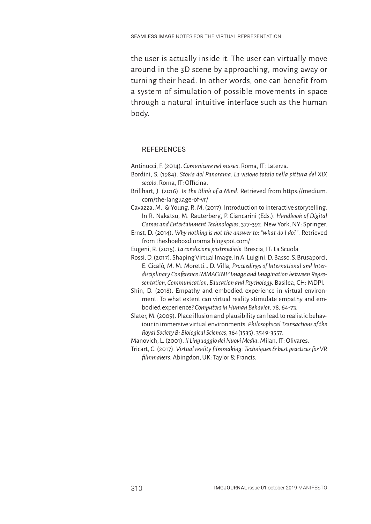the user is actually inside it. The user can virtually move around in the 3D scene by approaching, moving away or turning their head. In other words, one can benefit from a system of simulation of possible movements in space through a natural intuitive interface such as the human body.

# **REFERENCES**

Antinucci, F. (2014). *Comunicare nel museo*. Roma, IT: Laterza.

- Bordini, S. (1984). *Storia del Panorama. La visione totale nella pittura del XIX secolo*. Roma, IT: Officina.
- Brillhart, J. (2016). *In the Blink of a Mind*. Retrieved from https://medium. com/the-language-of-vr/

Cavazza, M., & Young, R. M. (2017). Introduction to interactive storytelling. In R. Nakatsu, M. Rauterberg, P. Ciancarini (Eds.). *Handbook of Digital Games and Entertainment Technologies*, 377-392. New York, NY: Springer.

Ernst, D. (2014). *Why nothing is not the answer to: "what do I do?"*. Retrieved from theshoeboxdiorama.blogspot.com/

Eugeni, R. (2015). *La condizione postmediale*. Brescia, IT: La Scuola

Rossi, D. (2017). Shaping Virtual Image. In A. Luigini, D. Basso, S. Brusaporci, E. Cicalò, M. M. Moretti… D. Villa, *Proceedings of International and Interdisciplinary Conference IMMAGINI? Image and Imagination between Representation, Communication, Education and Psychology.* Basilea, CH: MDPI.

Shin, D. (2018). Empathy and embodied experience in virtual environment: To what extent can virtual reality stimulate empathy and embodied experience? *Computers in Human Behavior*, 78, 64-73.

Slater, M. (2009). Place illusion and plausibility can lead to realistic behaviour in immersive virtual environments. *Philosophical Transactions of the Royal Society B: Biological Sciences*, 364(1535), 3549-3557.

Manovich, L. (2001). *Il Linguaggio dei Nuovi Media*. Milan, IT: Olivares.

Tricart, C. (2017). *Virtual reality filmmaking: Techniques & best practices for VR filmmakers*. Abingdon, UK: Taylor & Francis.